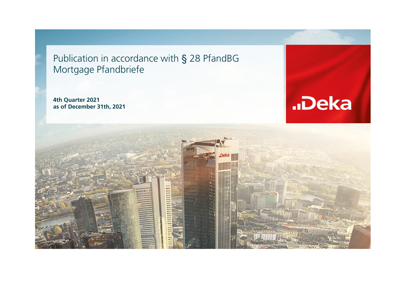Publication in accordance with § 28 PfandBG Mortgage Pfandbriefe

**4th Quarter 2021 as of December 31th, 2021**



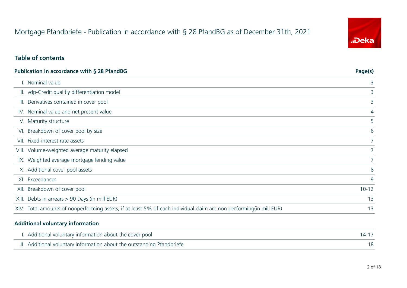## Mortgage Pfandbriefe - Publication in accordance with § 28 PfandBG as of December 31th, 2021

## "Deka

## **Table of contents**

| <b>Publication in accordance with § 28 PfandBG</b> | Page(s)                                                                                                              |             |
|----------------------------------------------------|----------------------------------------------------------------------------------------------------------------------|-------------|
|                                                    | I. Nominal value                                                                                                     | 3           |
|                                                    | II. vdp-Credit qualitiy differentiation model                                                                        | 3           |
|                                                    | III. Derivatives contained in cover pool                                                                             | 3           |
|                                                    | IV. Nominal value and net present value                                                                              | 4           |
|                                                    | V. Maturity structure                                                                                                | 5           |
|                                                    | VI. Breakdown of cover pool by size                                                                                  | 6           |
|                                                    | VII. Fixed-interest rate assets                                                                                      |             |
|                                                    | VIII. Volume-weighted average maturity elapsed                                                                       | $7^{\circ}$ |
|                                                    | IX. Weighted average mortgage lending value                                                                          |             |
|                                                    | X. Additional cover pool assets                                                                                      | 8           |
|                                                    | XI. Exceedances                                                                                                      | 9           |
|                                                    | XII. Breakdown of cover pool                                                                                         | $10 - 12$   |
|                                                    | XIII. Debts in arrears > 90 Days (in mill EUR)                                                                       | 13          |
|                                                    | XIV. Total amounts of nonperforming assets, if at least 5% of each individual claim are non performing (in mill EUR) | 13          |

#### **Additional voluntary information**

| I. Additional voluntary information about the cover pool               |  |
|------------------------------------------------------------------------|--|
| II. Additional voluntary information about the outstanding Pfandbriefe |  |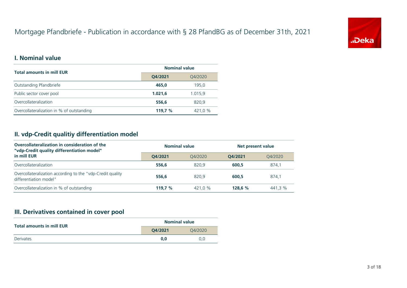## Mortgage Pfandbriefe - Publication in accordance with § 28 PfandBG as of December 31th, 2021



#### **I. Nominal value**

| <b>Total amounts in mill EUR</b>          | <b>Nominal value</b> |         |  |  |
|-------------------------------------------|----------------------|---------|--|--|
|                                           | Q4/2021              | Q4/2020 |  |  |
| Outstanding Pfandbriefe                   | 465.0                | 195.0   |  |  |
| Public sector cover pool                  | 1.021.6              | 1.015.9 |  |  |
| Overcollateralization                     | 556,6                | 820,9   |  |  |
| Overcollateralization in % of outstanding | 119.7 %              | 421.0 % |  |  |

## **II. vdp-Credit qualitiy differentiation model**

| Overcollateralization in consideration of the<br>"vdp-Credit quality differentiation model" | <b>Nominal value</b> |         |         | Net present value |  |
|---------------------------------------------------------------------------------------------|----------------------|---------|---------|-------------------|--|
| in mill EUR                                                                                 | O4/2021              | 04/2020 | 04/2021 | 04/2020           |  |
| Overcollateralization                                                                       | 556.6                | 820.9   | 600.5   | 874.1             |  |
| Overcollateralization according to the "vdp-Credit quality"<br>differentiation model"       | 556.6                | 820.9   | 600.5   | 874.1             |  |
| Overcollateralization in % of outstanding                                                   | 119.7 $%$            | 421.0 % | 128.6 % | 441.3 %           |  |

## **III. Derivatives contained in cover pool**

| <b>Total amounts in mill EUR</b> |         | <b>Nominal value</b> |
|----------------------------------|---------|----------------------|
|                                  | 04/2021 | 04/2020              |
| <b>Derivates</b>                 | 0.0     | 0.0                  |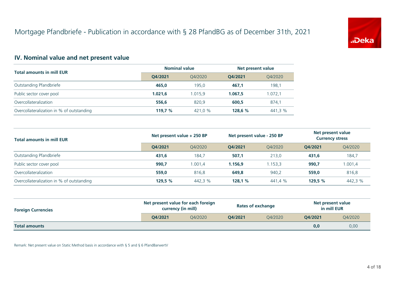

## **IV. Nominal value and net present value**

|                                           | <b>Nominal value</b> |         | Net present value  |         |  |
|-------------------------------------------|----------------------|---------|--------------------|---------|--|
| <b>Total amounts in mill EUR</b>          | O4/2021              | 04/2020 | Q4/2020<br>O4/2021 |         |  |
| Outstanding Pfandbriefe                   | 465.0                | 195.0   | 467.1              | 198,1   |  |
| Public sector cover pool                  | 1.021.6              | 1.015.9 | 1.067.5            | 1.072,1 |  |
| Overcollateralization                     | 556.6                | 820.9   | 600.5              | 874,1   |  |
| Overcollateralization in % of outstanding | 119.7 $%$            | 421,0 % | 128.6 %            | 441,3 % |  |

| <b>Total amounts in mill EUR</b>          | Net present value + 250 BP |         | Net present value - 250 BP |         | Net present value<br><b>Currency stress</b> |         |
|-------------------------------------------|----------------------------|---------|----------------------------|---------|---------------------------------------------|---------|
|                                           | O4/2021                    | O4/2020 | O4/2021                    | 04/2020 | O4/2021                                     | 04/2020 |
| Outstanding Pfandbriefe                   | 431.6                      | 184,7   | 507,1                      | 213.0   | 431.6                                       | 184,7   |
| Public sector cover pool                  | 990.7                      | 1.001.4 | 1.156.9                    | 1.153.3 | 990,7                                       | 1.001,4 |
| Overcollateralization                     | 559.0                      | 816.8   | 649.8                      | 940,2   | 559,0                                       | 816,8   |
| Overcollateralization in % of outstanding | 129,5 %                    | 442,3 % | 128,1%                     | 441,4 % | 129,5 $%$                                   | 442,3 % |

| <b>Foreign Currencies</b> | Net present value for each foreign<br>currency (in mill) |         | <b>Rates of exchange</b> |         | Net present value<br>in mill EUR |         |
|---------------------------|----------------------------------------------------------|---------|--------------------------|---------|----------------------------------|---------|
|                           | O4/2021                                                  | 04/2020 | O4/2021                  | O4/2020 | O4/2021                          | Q4/2020 |
| <b>Total amounts</b>      |                                                          |         |                          |         | 0,0                              | 0,00    |

Remark: Net present value on Static Method basis in accordance with § 5 and § 6 PfandBarwertV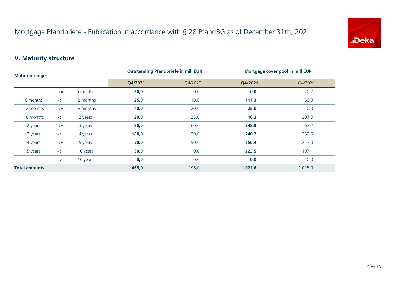

## **V. Maturity structure**

| <b>Maturity ranges</b> |        |           | <b>Outstanding Pfandbriefe in mill EUR</b> |         | Mortgage cover pool in mill EUR |         |
|------------------------|--------|-----------|--------------------------------------------|---------|---------------------------------|---------|
|                        |        |           | Q4/2021                                    | Q4/2020 | Q4/2021                         | Q4/2020 |
|                        | $\leq$ | 6 months  | 20,0                                       | 0,0     | 0,0                             | 20,2    |
| 6 months               | $\leq$ | 12 months | 25,0                                       | 10,0    | 111,3                           | 56,8    |
| 12 months              | $\leq$ | 18 months | 40,0                                       | 20,0    | 25,0                            | 0,0     |
| 18 months              | $\leq$ | 2 years   | 20,0                                       | 25,0    | 16,2                            | 207,0   |
| 2 years                | $\leq$ | 3 years   | 80,0                                       | 60,0    | 248,9                           | 67,2    |
| 3 years                | $\leq$ | 4 years   | 180,0                                      | 30,0    | 240,2                           | 250,5   |
| 4 years                | $\leq$ | 5 years   | 50,0                                       | 50,0    | 156,4                           | 217,0   |
| 5 years                | $\leq$ | 10 years  | 50,0                                       | 0,0     | 223,5                           | 197,1   |
|                        | >      | 10 years  | 0,0                                        | 0,0     | 0,0                             | 0,0     |
| <b>Total amounts</b>   |        | 465,0     | 195,0                                      | 1.021,6 | 1.015,9                         |         |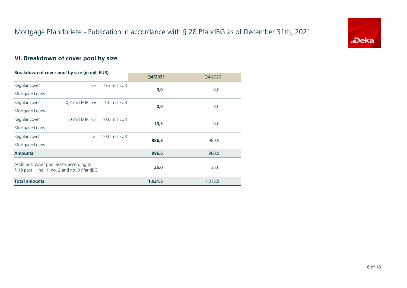

## **VI. Breakdown of cover pool by size**

| Breakdown of cover pool by size (in mill EUR) |                                   |               |         |         |
|-----------------------------------------------|-----------------------------------|---------------|---------|---------|
|                                               |                                   |               | Q4/2021 | Q4/2020 |
| Regular cover                                 | $\leq$                            | 0,3 mill EUR  | 0,0     | 0,0     |
| Mortgage Loans                                |                                   |               |         |         |
| Regular cover                                 | 0.3 mill EUR $\leq$               | 1,0 mill EUR  |         |         |
| Mortgage Loans                                |                                   |               | 0,0     | 0,0     |
| Regular cover                                 | 1,0 mill EUR $\leq$ 10,0 mill EUR |               | 10,3    |         |
| Mortgage Loans                                |                                   |               |         | 0,0     |
| Regular cover                                 | $\geq$                            | 10,0 mill EUR | 986,3   | 980,9   |
| Mortgage Loans                                |                                   |               |         |         |
| <b>Amounts</b>                                |                                   |               | 996,6   | 980,9   |
| Additional cover pool assets according to     |                                   |               |         |         |
| § 19 para. 1 no. 1, no. 2 and no. 3 PfandBG   |                                   |               | 25,0    | 35,0    |
| <b>Total amounts</b>                          |                                   |               | 1.021,6 | 1.015,9 |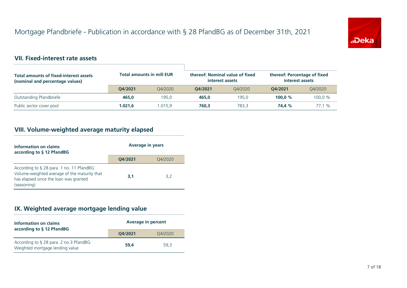

## **VII. Fixed-interest rate assets**

| <b>Total amounts of fixed-interest assets</b><br>(nominal and percentage values) | <b>Total amounts in mill EUR</b> |         | thereof: Nominal value of fixed<br>interest assets |         | thereof: Percentage of fixed<br>interest assets |         |
|----------------------------------------------------------------------------------|----------------------------------|---------|----------------------------------------------------|---------|-------------------------------------------------|---------|
|                                                                                  | O4/2021                          | 04/2020 | O4/2021                                            | 04/2020 | O4/2021                                         | O4/2020 |
| Outstanding Pfandbriefe                                                          | 465.0                            | 195.0   | 465.0                                              | 195.0   | 100.0 $%$                                       | 100.0 % |
| Public sector cover pool                                                         | 1.021.6                          | .015.9  | 760.3                                              | 783.3   | 74.4 %                                          | 77.1 %  |

## **VIII. Volume-weighted average maturity elapsed**

| Information on claims<br>according to § 12 PfandBG                                                                                                 | <b>Average in years</b> |         |  |
|----------------------------------------------------------------------------------------------------------------------------------------------------|-------------------------|---------|--|
|                                                                                                                                                    | O4/2021                 | 04/2020 |  |
| According to § 28 para. 1 no. 11 PfandBG:<br>Volume-weighted average of the maturity that<br>has elapsed since the loan was granted<br>(seasoning) | 3.1                     | 3.2     |  |

## **IX. Weighted average mortgage lending value**

| Information on claims<br>according to § 12 PfandBG                         | <b>Average in percent</b> |         |  |
|----------------------------------------------------------------------------|---------------------------|---------|--|
|                                                                            | O4/2021                   | Q4/2020 |  |
| According to § 28 para. 2 no.3 PfandBG:<br>Weighted mortgage lending value | 59.4                      | 59.3    |  |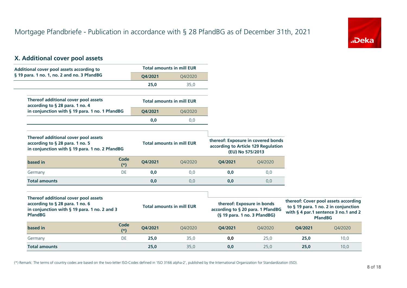

## **X. Additional cover pool assets**

| Additional cover pool assets according to                                                                                                 |                      |         | <b>Total amounts in mill EUR</b> |         |                                                                                                 |         |                                                                                                                                        |
|-------------------------------------------------------------------------------------------------------------------------------------------|----------------------|---------|----------------------------------|---------|-------------------------------------------------------------------------------------------------|---------|----------------------------------------------------------------------------------------------------------------------------------------|
| § 19 para. 1 no. 1, no. 2 and no. 3 PfandBG                                                                                               |                      | Q4/2021 | Q4/2020                          |         |                                                                                                 |         |                                                                                                                                        |
|                                                                                                                                           |                      | 25,0    | 35,0                             |         |                                                                                                 |         |                                                                                                                                        |
| Thereof additional cover pool assets<br>according to § 28 para. 1 no. 4                                                                   |                      |         | <b>Total amounts in mill EUR</b> |         |                                                                                                 |         |                                                                                                                                        |
| in conjunction with § 19 para. 1 no. 1 PfandBG                                                                                            |                      | Q4/2021 | Q4/2020                          |         |                                                                                                 |         |                                                                                                                                        |
|                                                                                                                                           |                      | 0,0     | 0,0                              |         |                                                                                                 |         |                                                                                                                                        |
| Thereof additional cover pool assets<br>according to § 28 para. 1 no. 5<br>in conjunction with § 19 para. 1 no. 2 PfandBG                 |                      |         | <b>Total amounts in mill EUR</b> |         | thereof: Exposure in covered bonds<br>according to Article 129 Regulation<br>(EU) No 575/2013   |         |                                                                                                                                        |
| based in                                                                                                                                  | <b>Code</b><br>$(*)$ | Q4/2021 | Q4/2020                          | Q4/2021 | Q4/2020                                                                                         |         |                                                                                                                                        |
| Germany                                                                                                                                   | <b>DE</b>            | 0,0     | 0,0                              | 0,0     | 0,0                                                                                             |         |                                                                                                                                        |
| <b>Total amounts</b>                                                                                                                      |                      | 0,0     | 0,0                              | 0,0     | 0,0                                                                                             |         |                                                                                                                                        |
| Thereof additional cover pool assets<br>according to § 28 para. 1 no. 6<br>in conjunction with § 19 para. 1 no. 2 and 3<br><b>PfandBG</b> |                      |         | <b>Total amounts in mill EUR</b> |         | thereof: Exposure in bonds<br>according to § 20 para. 1 PfandBG<br>(§ 19 para. 1 no. 3 PfandBG) |         | thereof: Cover pool assets according<br>to § 19 para. 1 no. 2 in conjunction<br>with § 4 par.1 sentence 3 no.1 and 2<br><b>PfandBG</b> |
| based in                                                                                                                                  | <b>Code</b><br>$(*)$ | Q4/2021 | O4/2020                          | Q4/2021 | Q4/2020                                                                                         | Q4/2021 | Q4/2020                                                                                                                                |
| Germany                                                                                                                                   | DE                   | 25,0    | 35,0                             | 0,0     | 25,0                                                                                            | 25,0    | 10,0                                                                                                                                   |
| <b>Total amounts</b>                                                                                                                      |                      | 25,0    | 35,0                             | 0,0     | 25,0                                                                                            | 25,0    | 10,0                                                                                                                                   |

(\*) Remark: The terms of country codes are based on the two-letter ISO-Codes defined in 'ISO 3166 alpha-2', published by the International Organization for Standardization (ISO).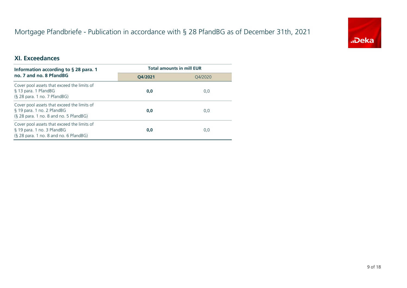## Mortgage Pfandbriefe - Publication in accordance with § 28 PfandBG as of December 31th, 2021



#### **XI. Exceedances**

| Information according to § 28 para. 1                                                                               | <b>Total amounts in mill EUR</b> |         |  |
|---------------------------------------------------------------------------------------------------------------------|----------------------------------|---------|--|
| no. 7 and no. 8 PfandBG                                                                                             | O4/2021                          | O4/2020 |  |
| Cover pool assets that exceed the limits of<br>§ 13 para. 1 PfandBG<br>$(S$ 28 para. 1 no. 7 PfandBG)               | 0,0                              | 0,0     |  |
| Cover pool assets that exceed the limits of<br>§ 19 para. 1 no. 2 PfandBG<br>(§ 28 para. 1 no. 8 and no. 5 PfandBG) | 0,0                              | 0,0     |  |
| Cover pool assets that exceed the limits of<br>§ 19 para. 1 no. 3 PfandBG<br>(§ 28 para. 1 no. 8 and no. 6 PfandBG) | 0,0                              | 0,0     |  |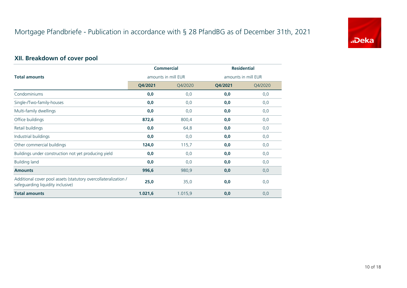

## **XII. Breakdown of cover pool**

|                                                                                                      |                     | <b>Commercial</b> | <b>Residential</b>  |         |  |
|------------------------------------------------------------------------------------------------------|---------------------|-------------------|---------------------|---------|--|
| <b>Total amounts</b>                                                                                 | amounts in mill EUR |                   | amounts in mill EUR |         |  |
|                                                                                                      | Q4/2021             | Q4/2020           | Q4/2021             | Q4/2020 |  |
| Condominiums                                                                                         | 0,0                 | 0,0               | 0,0                 | 0,0     |  |
| Single-/Two-family-houses                                                                            | 0,0                 | 0,0               | 0,0                 | 0,0     |  |
| Multi-family dwellings                                                                               | 0,0                 | 0,0               | 0,0                 | 0,0     |  |
| Office buildings                                                                                     | 872,6               | 800,4             | 0,0                 | 0,0     |  |
| Retail buildings                                                                                     | 0,0                 | 64,8              | 0,0                 | 0,0     |  |
| Industrial buildings                                                                                 | 0,0                 | 0,0               | 0,0                 | 0,0     |  |
| Other commercial buildings                                                                           | 124,0               | 115,7             | 0,0                 | 0,0     |  |
| Buildings under construction not yet producing yield                                                 | 0,0                 | 0,0               | 0,0                 | 0,0     |  |
| <b>Building land</b>                                                                                 | 0,0                 | 0,0               | 0,0                 | 0,0     |  |
| <b>Amounts</b>                                                                                       | 996,6               | 980,9             | 0,0                 | 0,0     |  |
| Additional cover pool assets (statutory overcollateralization /<br>safeguarding liquidity inclusive) | 25,0                | 35,0              | 0,0                 | 0,0     |  |
| <b>Total amounts</b>                                                                                 | 1.021,6             | 1.015,9           | 0,0                 | 0,0     |  |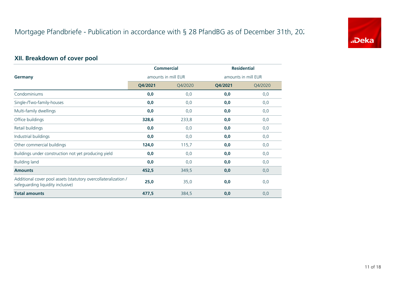

## **XII. Breakdown of cover pool**

|                                                                                                      | <b>Commercial</b>   |         | <b>Residential</b>  |         |  |
|------------------------------------------------------------------------------------------------------|---------------------|---------|---------------------|---------|--|
| Germany                                                                                              | amounts in mill EUR |         | amounts in mill EUR |         |  |
|                                                                                                      | Q4/2021             | Q4/2020 | Q4/2021             | Q4/2020 |  |
| Condominiums                                                                                         | 0,0                 | 0,0     | 0,0                 | 0, 0    |  |
| Single-/Two-family-houses                                                                            | 0,0                 | 0,0     | 0,0                 | 0,0     |  |
| Multi-family dwellings                                                                               | 0,0                 | 0,0     | 0,0                 | 0, 0    |  |
| Office buildings                                                                                     | 328,6               | 233,8   | 0,0                 | 0, 0    |  |
| Retail buildings                                                                                     | 0,0                 | 0,0     | 0,0                 | 0,0     |  |
| Industrial buildings                                                                                 | 0,0                 | 0,0     | 0,0                 | 0,0     |  |
| Other commercial buildings                                                                           | 124,0               | 115,7   | 0,0                 | 0,0     |  |
| Buildings under construction not yet producing yield                                                 | 0,0                 | 0,0     | 0,0                 | 0,0     |  |
| <b>Building land</b>                                                                                 | 0,0                 | 0,0     | 0,0                 | 0,0     |  |
| <b>Amounts</b>                                                                                       | 452,5               | 349,5   | 0,0                 | 0,0     |  |
| Additional cover pool assets (statutory overcollateralization /<br>safeguarding liquidity inclusive) | 25,0                | 35,0    | 0,0                 | 0,0     |  |
| <b>Total amounts</b>                                                                                 | 477,5               | 384,5   | 0,0                 | 0,0     |  |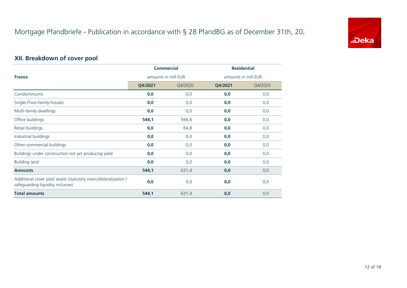

## **XII. Breakdown of cover pool**

|                                                                                                      |                     | <b>Commercial</b> | <b>Residential</b>  |         |  |
|------------------------------------------------------------------------------------------------------|---------------------|-------------------|---------------------|---------|--|
| <b>France</b>                                                                                        | amounts in mill EUR |                   | amounts in mill EUR |         |  |
|                                                                                                      | Q4/2021             | Q4/2020           | Q4/2021             | Q4/2020 |  |
| Condominiums                                                                                         | 0,0                 | 0,0               | 0,0                 | 0,0     |  |
| Single-/Two-family-houses                                                                            | 0,0                 | 0,0               | 0,0                 | 0,0     |  |
| Multi-family dwellings                                                                               | 0,0                 | 0,0               | 0,0                 | 0,0     |  |
| Office buildings                                                                                     | 544,1               | 566,6             | 0,0                 | 0,0     |  |
| Retail buildings                                                                                     | 0,0                 | 64,8              | 0,0                 | 0,0     |  |
| Industrial buildings                                                                                 | 0,0                 | 0,0               | 0,0                 | 0,0     |  |
| Other commercial buildings                                                                           | 0,0                 | 0,0               | 0,0                 | 0,0     |  |
| Buildings under construction not yet producing yield                                                 | 0,0                 | 0,0               | 0,0                 | 0,0     |  |
| <b>Building land</b>                                                                                 | 0,0                 | 0,0               | 0,0                 | 0,0     |  |
| <b>Amounts</b>                                                                                       | 544,1               | 631,4             | 0,0                 | 0,0     |  |
| Additional cover pool assets (statutory overcollateralization /<br>safeguarding liquidity inclusive) | 0,0                 | 0,0               | 0,0                 | 0,0     |  |
| <b>Total amounts</b>                                                                                 | 544,1               | 631,4             | 0,0                 | 0,0     |  |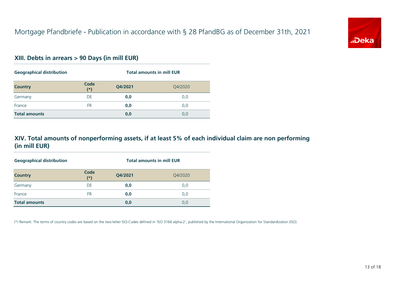

#### **XIII. Debts in arrears > 90 Days (in mill EUR)**

| <b>Geographical distribution</b> |               | <b>Total amounts in mill EUR</b> |         |  |
|----------------------------------|---------------|----------------------------------|---------|--|
| <b>Country</b>                   | Code<br>$(*)$ | Q4/2021                          | Q4/2020 |  |
| Germany                          | DE            | 0,0                              | 0,0     |  |
| France                           | <b>FR</b>     | 0,0                              | 0,0     |  |
| <b>Total amounts</b>             |               | 0,0                              | 0,0     |  |

## **XIV. Total amounts of nonperforming assets, if at least 5% of each individual claim are non performing (in mill EUR)**

| <b>Geographical distribution</b> |               | <b>Total amounts in mill EUR</b> |         |  |
|----------------------------------|---------------|----------------------------------|---------|--|
| <b>Country</b>                   | Code<br>$(*)$ | Q4/2021                          | Q4/2020 |  |
| Germany                          | DE            | 0,0                              | 0,0     |  |
| France                           | FR            | 0,0                              | 0,0     |  |
| <b>Total amounts</b>             |               | 0,0                              | 0,0     |  |

(\*) Remark: The terms of country codes are based on the two-letter ISO-Codes defined in 'ISO 3166 alpha-2', published by the International Organization for Standardization (ISO).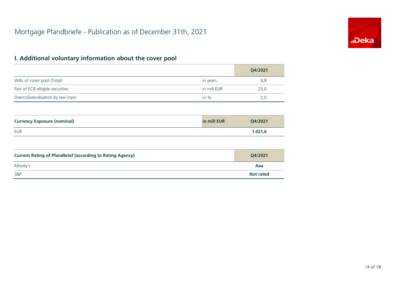

## **I. Additional voluntary information about the cover pool**

|                                    |             | Q4/2021 |
|------------------------------------|-------------|---------|
| WAL of cover pool (Total)          | in years    | 3,9     |
| Part of ECB elligble securities    | in mill EUR | 25.0    |
| Overcollateralisation by law (npv) | in $%$      | 2,0     |

| <b>Currency Exposure (nominal)</b> | in mill EUR | Q4/2021 |
|------------------------------------|-------------|---------|
| EUR                                |             | 1.021,6 |

| <b>Current Rating of Pfandbrief (according to Rating Agency)</b> | Q4/2021          |
|------------------------------------------------------------------|------------------|
| Moody's                                                          | Aaa              |
| <b>S&amp;P</b>                                                   | <b>Not rated</b> |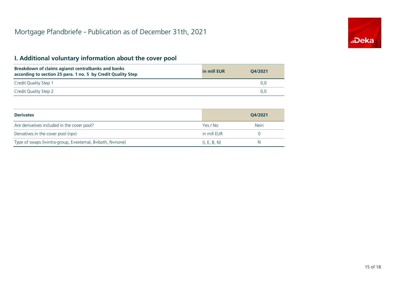# "Deka

## **I. Additional voluntary information about the cover pool**

| Breakdown of claims agianst centralbanks and banks<br>according to section 25 para. 1 no. 5 by Credit Quality Step | in mill EUR | O4/2021 |
|--------------------------------------------------------------------------------------------------------------------|-------------|---------|
| Credit Quality Step 1                                                                                              |             | U.U     |
| Credit Quality Step 2                                                                                              |             | 0.O     |

| <b>Derivates</b>                                          |              | O4/2021     |
|-----------------------------------------------------------|--------------|-------------|
| Are derivatives included in the cover pool?               | Yes / No     | <b>Nein</b> |
| Dervatives in the cover pool (npv)                        | in mill EUR  |             |
| Type of swaps (I=intra-group, E=external, B=both, N=none) | (I, E, B, N) | N           |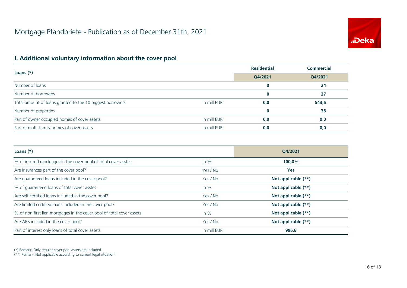

## **I. Additional voluntary information about the cover pool**

| Loans $(*)$                                               |             | <b>Residential</b> | <b>Commercial</b> |
|-----------------------------------------------------------|-------------|--------------------|-------------------|
|                                                           |             | Q4/2021            | Q4/2021           |
| Number of loans                                           |             | 0                  | 24                |
| Number of borrowers                                       |             | $\bf{0}$           | 27                |
| Total amount of loans granted to the 10 biggest borrowers | in mill EUR | 0,0                | 543,6             |
| Number of properties                                      |             | $\bf{0}$           | 38                |
| Part of owner occupied homes of cover assets              | in mill EUR | 0,0                | 0,0               |
| Part of multi-family homes of cover assets                | in mill EUR | 0,0                | 0,0               |

| Loans $(*)$                                                           |             | O4/2021             |  |
|-----------------------------------------------------------------------|-------------|---------------------|--|
| % of insured mortgages in the cover pool of total cover asstes        | in $%$      | 100,0%              |  |
| Are Insurances part of the cover pool?                                | Yes / No    | <b>Yes</b>          |  |
| Are guaranteed loans included in the cover pool?                      | Yes / No    | Not applicable (**) |  |
| % of quaranteed loans of total cover asstes                           | in $%$      | Not applicable (**) |  |
| Are self certified loans included in the cover pool?                  | Yes / No    | Not applicable (**) |  |
| Are limited certified loans included in the cover pool?               | Yes / No    | Not applicable (**) |  |
| % of non first lien mortgages in the cover pool of total cover assets | in $%$      | Not applicable (**) |  |
| Are ABS included in the cover pool?                                   | Yes / No    | Not applicable (**) |  |
| Part of interest only loans of total cover assets                     | in mill EUR | 996,6               |  |

(\*) Remark: Only regular cover pool assets are included.

(\*\*) Remark: Not applicable according to current legal situation.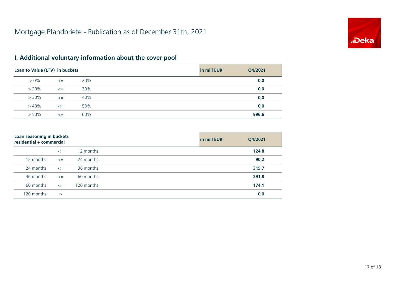

| Loan to Value (LTV) in buckets |        |     | in mill EUR | Q4/2021 |
|--------------------------------|--------|-----|-------------|---------|
| $> 0\%$                        | $\leq$ | 20% |             | 0,0     |
| $> 20\%$                       | $\leq$ | 30% |             | 0,0     |
| $>30\%$                        | $\leq$ | 40% |             | 0,0     |
| >40%                           | $\leq$ | 50% |             | 0,0     |
| $> 50\%$                       | $\leq$ | 60% |             | 996,6   |

## **I. Additional voluntary information about the cover pool**

| Loan seasoning in buckets<br>residential + commercial |              |            | in mill EUR | Q4/2021 |
|-------------------------------------------------------|--------------|------------|-------------|---------|
|                                                       | $\leq$       | 12 months  |             | 124,8   |
| 12 months                                             | $\leq$       | 24 months  |             | 90,2    |
| 24 months                                             | $\leq$       | 36 months  |             | 315,7   |
| 36 months                                             | $\leq$       | 60 months  |             | 291,8   |
| 60 months                                             | $\leq$       | 120 months |             | 174,1   |
| 120 months                                            | $\mathbf{I}$ |            |             | 0,0     |